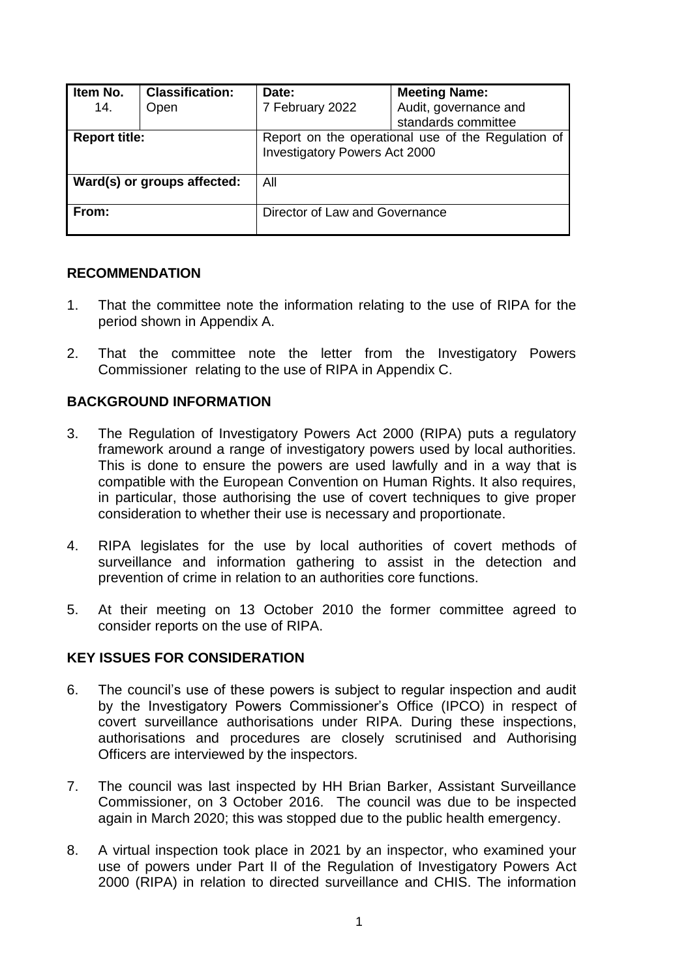| Item No.                    | <b>Classification:</b> | Date:                                                                                      | <b>Meeting Name:</b>  |  |
|-----------------------------|------------------------|--------------------------------------------------------------------------------------------|-----------------------|--|
| 14.                         | Open                   | 7 February 2022                                                                            | Audit, governance and |  |
|                             |                        |                                                                                            | standards committee   |  |
| <b>Report title:</b>        |                        | Report on the operational use of the Regulation of<br><b>Investigatory Powers Act 2000</b> |                       |  |
| Ward(s) or groups affected: |                        | All                                                                                        |                       |  |
| From:                       |                        | Director of Law and Governance                                                             |                       |  |

# **RECOMMENDATION**

- 1. That the committee note the information relating to the use of RIPA for the period shown in Appendix A.
- 2. That the committee note the letter from the Investigatory Powers Commissioner relating to the use of RIPA in Appendix C.

# **BACKGROUND INFORMATION**

- 3. The Regulation of Investigatory Powers Act 2000 (RIPA) puts a regulatory framework around a range of investigatory powers used by local authorities. This is done to ensure the powers are used lawfully and in a way that is compatible with the European Convention on Human Rights. It also requires, in particular, those authorising the use of covert techniques to give proper consideration to whether their use is necessary and proportionate.
- 4. RIPA legislates for the use by local authorities of covert methods of surveillance and information gathering to assist in the detection and prevention of crime in relation to an authorities core functions.
- 5. At their meeting on 13 October 2010 the former committee agreed to consider reports on the use of RIPA.

# **KEY ISSUES FOR CONSIDERATION**

- 6. The council's use of these powers is subject to regular inspection and audit by the Investigatory Powers Commissioner's Office (IPCO) in respect of covert surveillance authorisations under RIPA. During these inspections, authorisations and procedures are closely scrutinised and Authorising Officers are interviewed by the inspectors.
- 7. The council was last inspected by HH Brian Barker, Assistant Surveillance Commissioner, on 3 October 2016. The council was due to be inspected again in March 2020; this was stopped due to the public health emergency.
- 8. A virtual inspection took place in 2021 by an inspector, who examined your use of powers under Part II of the Regulation of Investigatory Powers Act 2000 (RIPA) in relation to directed surveillance and CHIS. The information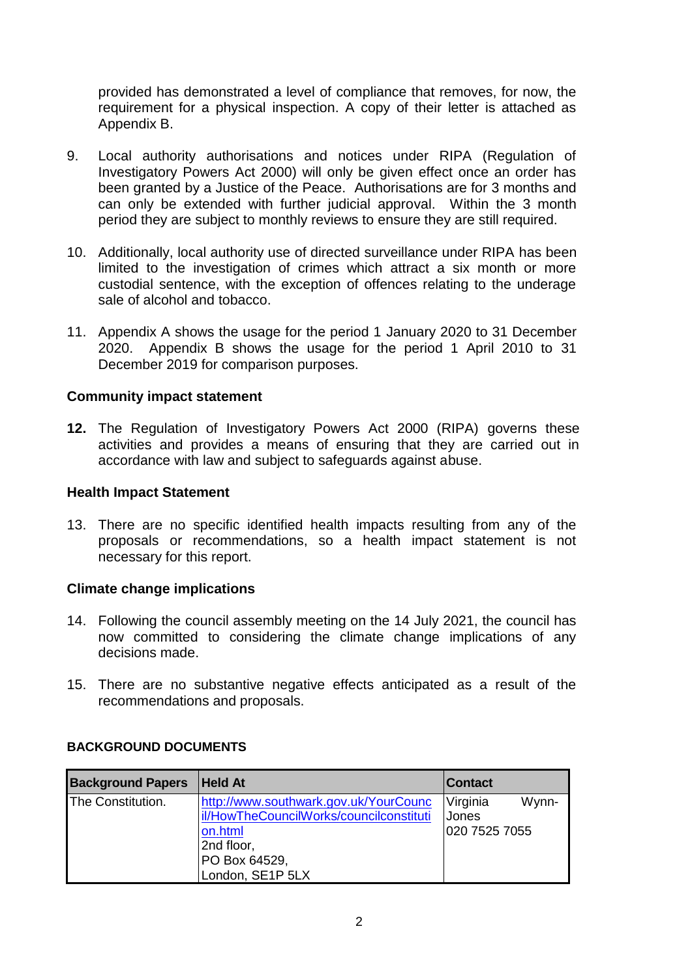provided has demonstrated a level of compliance that removes, for now, the requirement for a physical inspection. A copy of their letter is attached as Appendix B.

- 9. Local authority authorisations and notices under RIPA (Regulation of Investigatory Powers Act 2000) will only be given effect once an order has been granted by a Justice of the Peace. Authorisations are for 3 months and can only be extended with further judicial approval. Within the 3 month period they are subject to monthly reviews to ensure they are still required.
- 10. Additionally, local authority use of directed surveillance under RIPA has been limited to the investigation of crimes which attract a six month or more custodial sentence, with the exception of offences relating to the underage sale of alcohol and tobacco.
- 11. Appendix A shows the usage for the period 1 January 2020 to 31 December 2020. Appendix B shows the usage for the period 1 April 2010 to 31 December 2019 for comparison purposes.

### **Community impact statement**

**12.** The Regulation of Investigatory Powers Act 2000 (RIPA) governs these activities and provides a means of ensuring that they are carried out in accordance with law and subject to safeguards against abuse.

#### **Health Impact Statement**

13. There are no specific identified health impacts resulting from any of the proposals or recommendations, so a health impact statement is not necessary for this report.

# **Climate change implications**

- 14. Following the council assembly meeting on the 14 July 2021, the council has now committed to considering the climate change implications of any decisions made.
- 15. There are no substantive negative effects anticipated as a result of the recommendations and proposals.

| <b>Background Papers</b> | <b>Held At</b>                          | <b>Contact</b>    |
|--------------------------|-----------------------------------------|-------------------|
| The Constitution.        | http://www.southwark.gov.uk/YourCounc   | Wynn-<br>Virginia |
|                          | il/HowTheCouncilWorks/councilconstituti | Jones             |
|                          | on.html                                 | 020 7525 7055     |
|                          | 2nd floor,                              |                   |
|                          | PO Box 64529,                           |                   |
|                          | London, SE1P 5LX                        |                   |

#### **BACKGROUND DOCUMENTS**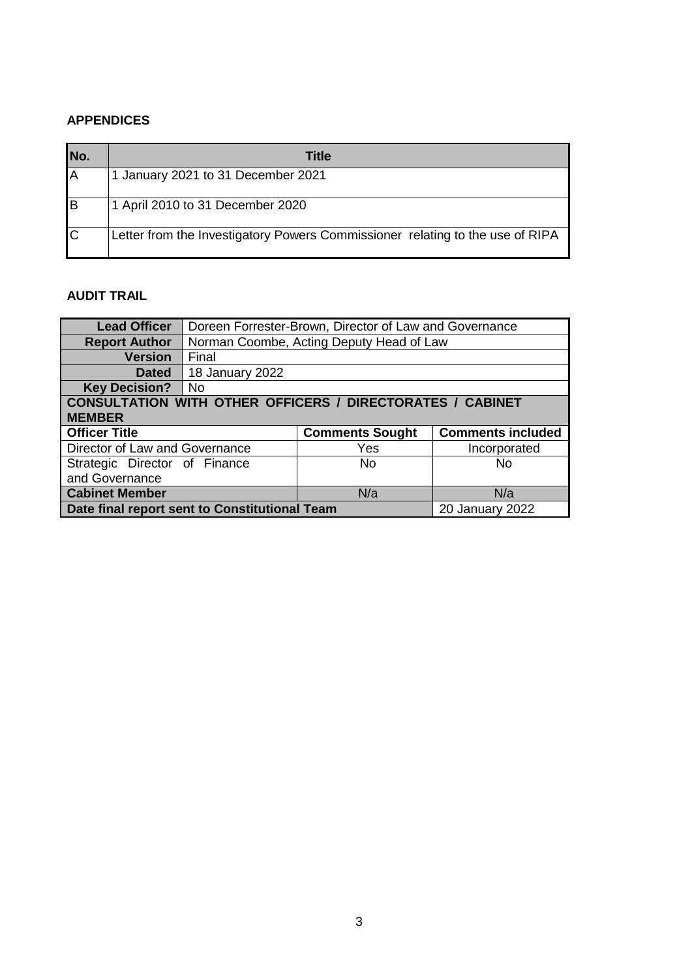### **APPENDICES**

| No. | Title                                                                         |
|-----|-------------------------------------------------------------------------------|
| ١A  | 1 January 2021 to 31 December 2021                                            |
| IΒ  | 1 April 2010 to 31 December 2020                                              |
| IС  | Letter from the Investigatory Powers Commissioner relating to the use of RIPA |

### **AUDIT TRAIL**

| <b>Lead Officer</b>                                                        | Doreen Forrester-Brown, Director of Law and Governance |                                                                  |              |  |
|----------------------------------------------------------------------------|--------------------------------------------------------|------------------------------------------------------------------|--------------|--|
| <b>Report Author</b>                                                       |                                                        | Norman Coombe, Acting Deputy Head of Law                         |              |  |
| <b>Version</b>                                                             | Final                                                  |                                                                  |              |  |
| <b>Dated</b>                                                               | 18 January 2022                                        |                                                                  |              |  |
| <b>Key Decision?</b>                                                       | <b>No</b>                                              |                                                                  |              |  |
|                                                                            |                                                        | <b>CONSULTATION WITH OTHER OFFICERS / DIRECTORATES / CABINET</b> |              |  |
| <b>MEMBER</b>                                                              |                                                        |                                                                  |              |  |
| <b>Comments included</b><br><b>Officer Title</b><br><b>Comments Sought</b> |                                                        |                                                                  |              |  |
| Director of Law and Governance                                             |                                                        | <b>Yes</b>                                                       | Incorporated |  |
| Strategic Director of Finance                                              |                                                        | <b>No</b>                                                        | No           |  |
| and Governance                                                             |                                                        |                                                                  |              |  |
| N/a<br><b>Cabinet Member</b><br>N/a                                        |                                                        |                                                                  |              |  |
| Date final report sent to Constitutional Team<br>20 January 2022           |                                                        |                                                                  |              |  |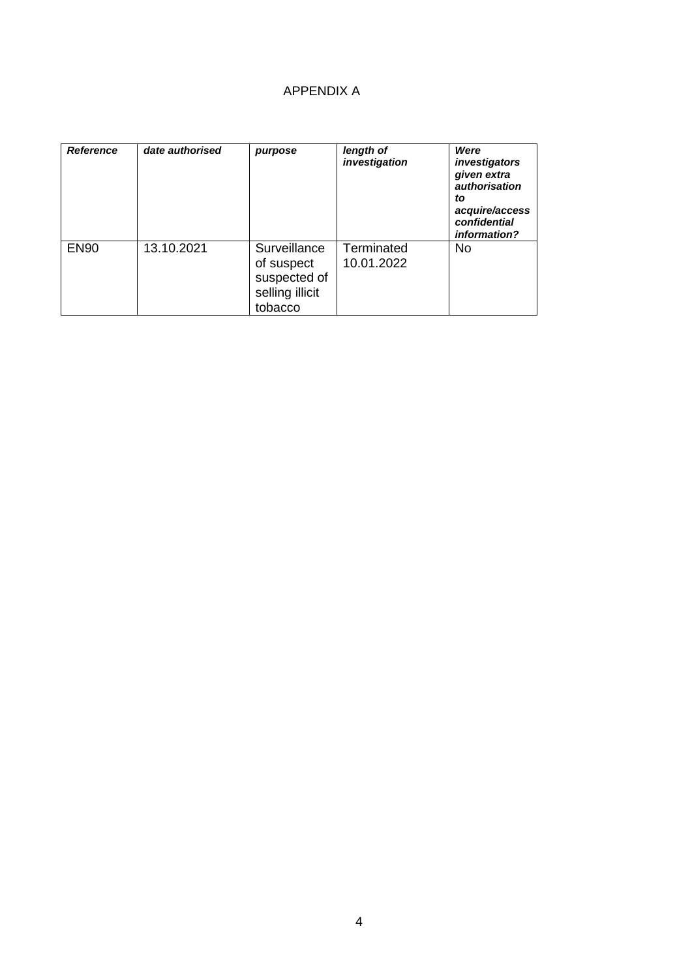# APPENDIX A

| <b>Reference</b> | date authorised | purpose                                                                  | length of<br>investigation | Were<br>investigators<br>given extra<br>authorisation<br>to<br>acquire/access<br>confidential<br>information? |
|------------------|-----------------|--------------------------------------------------------------------------|----------------------------|---------------------------------------------------------------------------------------------------------------|
| <b>EN90</b>      | 13.10.2021      | Surveillance<br>of suspect<br>suspected of<br>selling illicit<br>tobacco | Terminated<br>10.01.2022   | No.                                                                                                           |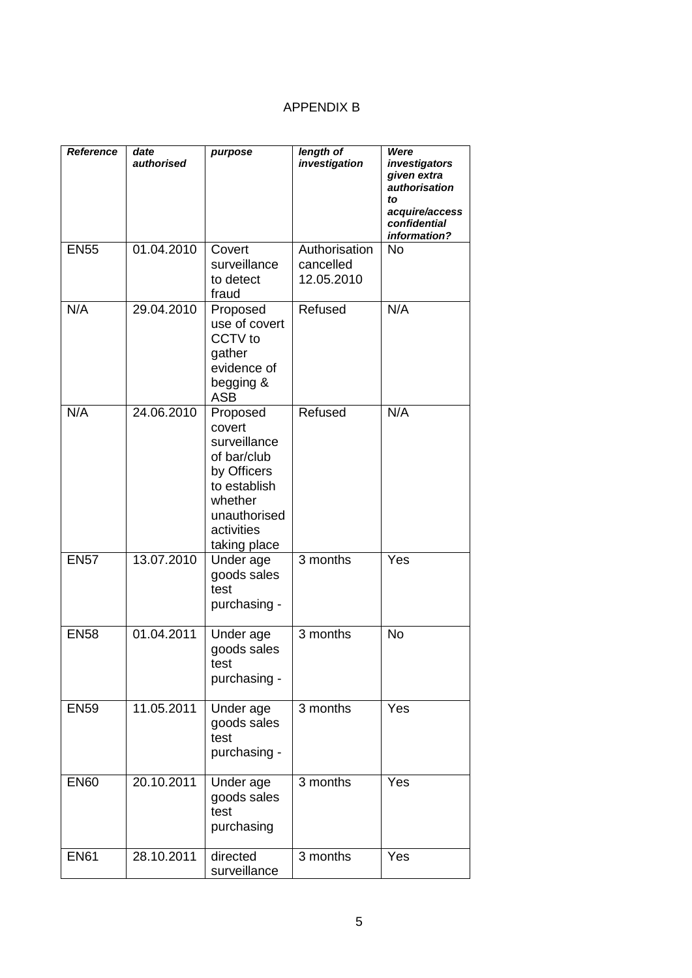### APPENDIX B

| Reference   | date<br>authorised | purpose                                                                                                                                   | length of<br>investigation               | Were<br>investigators<br>given extra<br>authorisation<br>to<br>acquire/access<br>confidential<br>information? |
|-------------|--------------------|-------------------------------------------------------------------------------------------------------------------------------------------|------------------------------------------|---------------------------------------------------------------------------------------------------------------|
| <b>EN55</b> | 01.04.2010         | Covert<br>surveillance<br>to detect<br>fraud                                                                                              | Authorisation<br>cancelled<br>12.05.2010 | <b>No</b>                                                                                                     |
| N/A         | 29.04.2010         | Proposed<br>use of covert<br>CCTV to<br>gather<br>evidence of<br>begging &<br><b>ASB</b>                                                  | Refused                                  | N/A                                                                                                           |
| N/A         | 24.06.2010         | Proposed<br>covert<br>surveillance<br>of bar/club<br>by Officers<br>to establish<br>whether<br>unauthorised<br>activities<br>taking place | Refused                                  | N/A                                                                                                           |
| <b>EN57</b> | 13.07.2010         | Under age<br>goods sales<br>test<br>purchasing -                                                                                          | 3 months                                 | Yes                                                                                                           |
| <b>EN58</b> | 01.04.2011         | Under age<br>goods sales<br>test<br>purchasing -                                                                                          | 3 months                                 | <b>No</b>                                                                                                     |
| <b>EN59</b> | 11.05.2011         | Under age<br>goods sales<br>test<br>purchasing -                                                                                          | 3 months                                 | Yes                                                                                                           |
| <b>EN60</b> | 20.10.2011         | Under age<br>goods sales<br>test<br>purchasing                                                                                            | 3 months                                 | Yes                                                                                                           |
| <b>EN61</b> | 28.10.2011         | directed<br>surveillance                                                                                                                  | 3 months                                 | Yes                                                                                                           |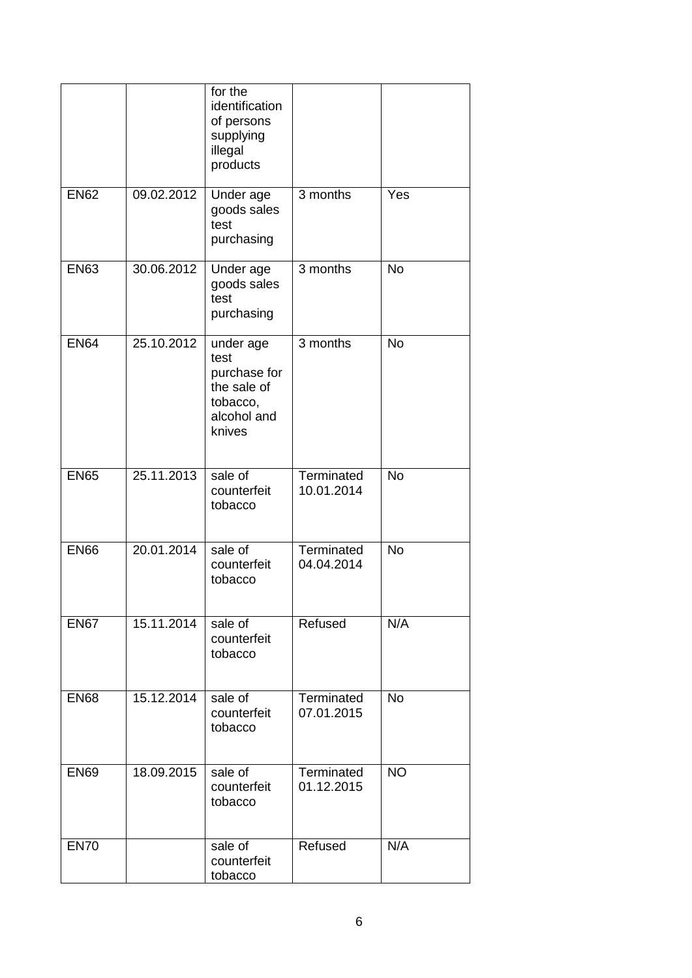|             |            | for the<br>identification<br>of persons<br>supplying<br>illegal<br>products           |                          |           |
|-------------|------------|---------------------------------------------------------------------------------------|--------------------------|-----------|
| <b>EN62</b> | 09.02.2012 | Under age<br>goods sales<br>test<br>purchasing                                        | 3 months                 | Yes       |
| <b>EN63</b> | 30.06.2012 | Under age<br>goods sales<br>test<br>purchasing                                        | 3 months                 | <b>No</b> |
| <b>EN64</b> | 25.10.2012 | under age<br>test<br>purchase for<br>the sale of<br>tobacco,<br>alcohol and<br>knives | 3 months                 | <b>No</b> |
| <b>EN65</b> | 25.11.2013 | sale of<br>counterfeit<br>tobacco                                                     | Terminated<br>10.01.2014 | <b>No</b> |
| <b>EN66</b> | 20.01.2014 | sale of<br>counterfeit<br>tobacco                                                     | Terminated<br>04.04.2014 | <b>No</b> |
| <b>EN67</b> | 15.11.2014 | sale of<br>counterfeit<br>tobacco                                                     | Refused                  | N/A       |
| <b>EN68</b> | 15.12.2014 | sale of<br>counterfeit<br>tobacco                                                     | Terminated<br>07.01.2015 | <b>No</b> |
| <b>EN69</b> | 18.09.2015 | sale of<br>counterfeit<br>tobacco                                                     | Terminated<br>01.12.2015 | <b>NO</b> |
| <b>EN70</b> |            | sale of<br>counterfeit<br>tobacco                                                     | Refused                  | N/A       |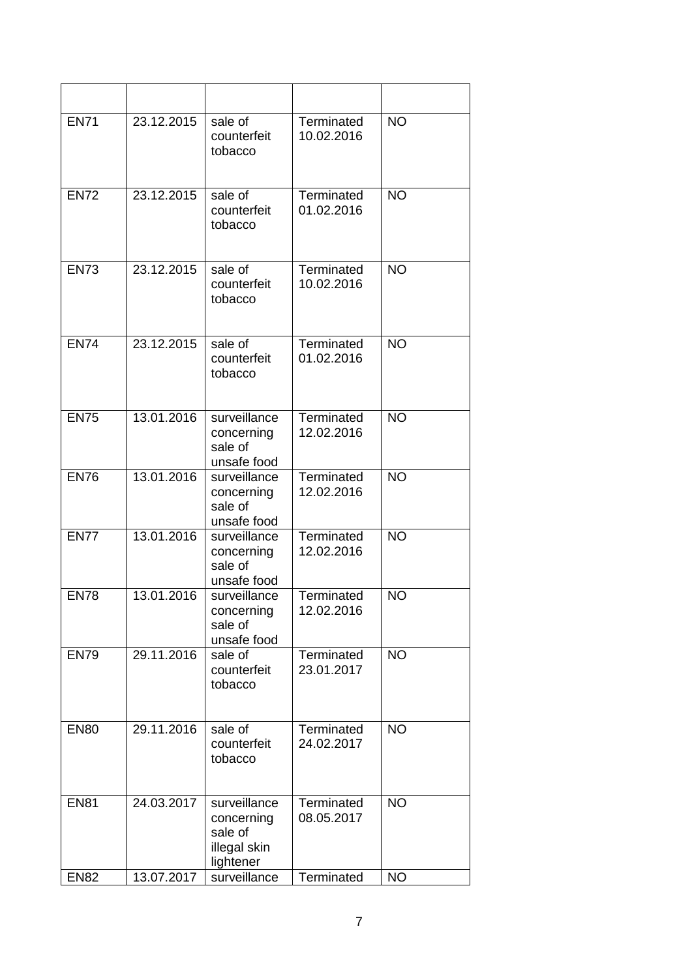| EN71        | 23.12.2015 | sale of<br>counterfeit<br>tobacco                                  | Terminated<br>10.02.2016 | <b>NO</b> |
|-------------|------------|--------------------------------------------------------------------|--------------------------|-----------|
| <b>EN72</b> | 23.12.2015 | sale of<br>counterfeit<br>tobacco                                  | Terminated<br>01.02.2016 | <b>NO</b> |
| <b>EN73</b> | 23.12.2015 | sale of<br>counterfeit<br>tobacco                                  | Terminated<br>10.02.2016 | <b>NO</b> |
| <b>EN74</b> | 23.12.2015 | sale of<br>counterfeit<br>tobacco                                  | Terminated<br>01.02.2016 | <b>NO</b> |
| <b>EN75</b> | 13.01.2016 | surveillance<br>concerning<br>sale of<br>unsafe food               | Terminated<br>12.02.2016 | <b>NO</b> |
| <b>EN76</b> | 13.01.2016 | surveillance<br>concerning<br>sale of<br>unsafe food               | Terminated<br>12.02.2016 | <b>NO</b> |
| <b>EN77</b> | 13.01.2016 | surveillance<br>concerning<br>sale of<br>unsafe food               | Terminated<br>12.02.2016 | <b>NO</b> |
| <b>EN78</b> | 13.01.2016 | surveillance<br>concerning<br>sale of<br>unsafe food               | Terminated<br>12.02.2016 | <b>NO</b> |
| <b>EN79</b> | 29.11.2016 | sale of<br>counterfeit<br>tobacco                                  | Terminated<br>23.01.2017 | <b>NO</b> |
| <b>EN80</b> | 29.11.2016 | sale of<br>counterfeit<br>tobacco                                  | Terminated<br>24.02.2017 | <b>NO</b> |
| <b>EN81</b> | 24.03.2017 | surveillance<br>concerning<br>sale of<br>illegal skin<br>lightener | Terminated<br>08.05.2017 | <b>NO</b> |
| <b>EN82</b> | 13.07.2017 | surveillance                                                       | Terminated               | <b>NO</b> |